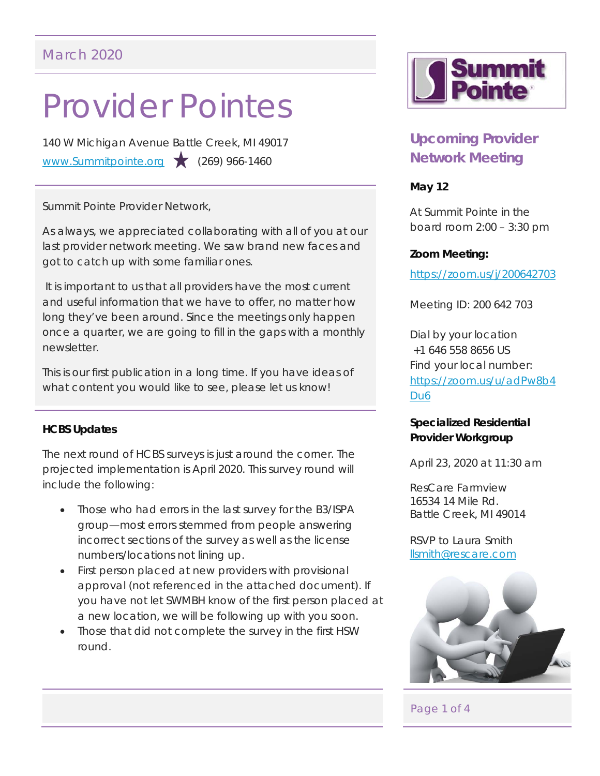# Provider Pointes

140 W Michigan Avenue Battle Creek, MI 49017 www.Summitpointe.org (269) 966-1460

Summit Pointe Provider Network,

As always, we appreciated collaborating with all of you at our last provider network meeting. We saw brand new faces and got to catch up with some familiar ones.

 It is important to us that all providers have the most current and useful information that we have to offer, no matter how long they've been around. Since the meetings only happen once a quarter, we are going to fill in the gaps with a monthly newsletter.

This is our first publication in a long time. If you have ideas of what content you would like to see, please let us know!

## **HCBS Updates**

The next round of HCBS surveys is just around the corner. The projected implementation is April 2020. This survey round will include the following:

- Those who had errors in the last survey for the B3/ISPA group—most errors stemmed from people answering incorrect sections of the survey as well as the license numbers/locations not lining up.
- First person placed at new providers with provisional approval (not referenced in the attached document). If you have not let SWMBH know of the first person placed at a new location, we will be following up with you soon.
- Those that did not complete the survey in the first HSW round.



# **Upcoming Provider Network Meeting**

## **May 12**

At Summit Pointe in the board room 2:00 – 3:30 pm

#### **Zoom Meeting:**

https://zoom.us/j/200642703

Meeting ID: 200 642 703

Dial by your location +1 646 558 8656 US Find your local number: https://zoom.us/u/adPw8b4 Du6

### **Specialized Residential Provider Workgroup**

April 23, 2020 at 11:30 am

ResCare Farmview 16534 14 Mile Rd. Battle Creek, MI 49014

RSVP to Laura Smith llsmith@rescare.com



## Page 1 of 4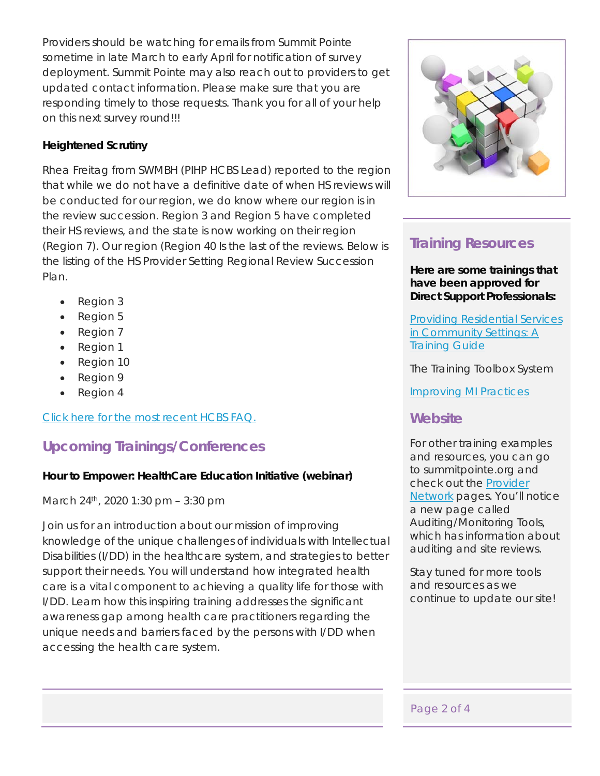Providers should be watching for emails from Summit Pointe sometime in late March to early April for notification of survey deployment. Summit Pointe may also reach out to providers to get updated contact information. Please make sure that you are responding timely to those requests. Thank you for all of your help on this next survey round!!!

## **Heightened Scrutiny**

Rhea Freitag from SWMBH (PIHP HCBS Lead) reported to the region that while we do not have a definitive date of when HS reviews will be conducted for our region, we do know where our region is in the review succession. Region 3 and Region 5 have completed their HS reviews, and the state is now working on their region (Region 7). Our region (Region 40 Is the last of the reviews. Below is the listing of the HS Provider Setting Regional Review Succession Plan.

- Region 3
- Region 5
- Region 7
- Region 1
- Region 10
- Region 9
- Region 4

Click here for the most recent HCBS FAQ.

# **Upcoming Trainings/Conferences**

## **Hour to Empower: HealthCare Education Initiative (webinar)**

March 24th, 2020 1:30 pm – 3:30 pm

Join us for an introduction about our mission of improving knowledge of the unique challenges of individuals with Intellectual Disabilities (I/DD) in the healthcare system, and strategies to better support their needs. You will understand how integrated health care is a vital component to achieving a quality life for those with I/DD. Learn how this inspiring training addresses the significant awareness gap among health care practitioners regarding the unique needs and barriers faced by the persons with I/DD when accessing the health care system.



# **Training Resources**

**Here are some trainings that have been approved for Direct Support Professionals:** 

Providing Residential Services in Community Settings: A Training Guide

The Training Toolbox System

Improving MI Practices

# **Website**

For other training examples and resources, you can go to summitpointe.org and check out the Provider Network pages. You'll notice a new page called Auditing/Monitoring Tools, which has information about auditing and site reviews.

Stay tuned for more tools and resources as we continue to update our site!